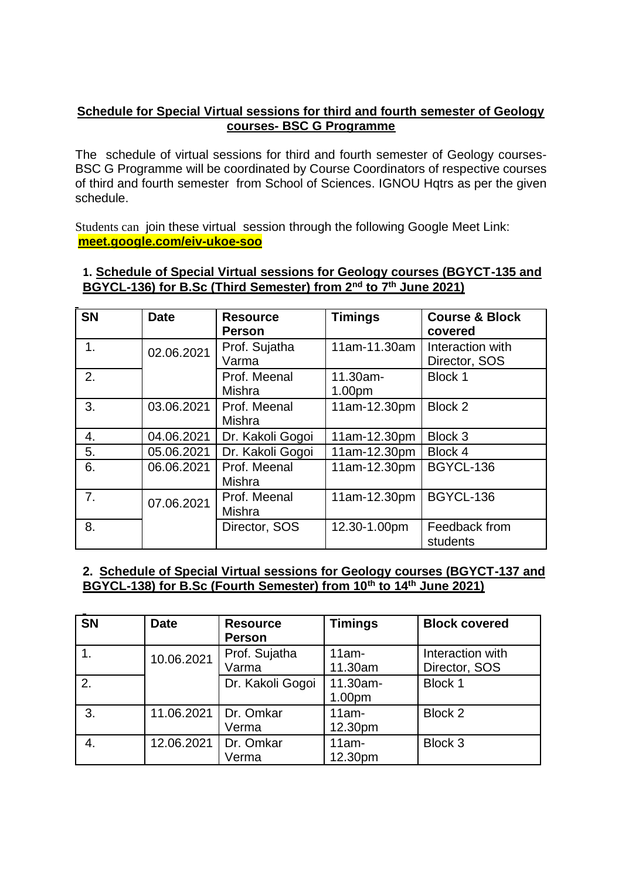## **Schedule for Special Virtual sessions for third and fourth semester of Geology courses- BSC G Programme**

The schedule of virtual sessions for third and fourth semester of Geology courses-BSC G Programme will be coordinated by Course Coordinators of respective courses of third and fourth semester from School of Sciences. IGNOU Hqtrs as per the given schedule.

Students can join these virtual session through the following Google Meet Link: **[meet.google.com/eiv-ukoe-soo](http://meet.google.com/eiv-ukoe-soo)**

|  |                                                                                         |  | 1. Schedule of Special Virtual sessions for Geology courses (BGYCT-135 and |
|--|-----------------------------------------------------------------------------------------|--|----------------------------------------------------------------------------|
|  | BGYCL-136) for B.Sc (Third Semester) from 2 <sup>nd</sup> to 7 <sup>th</sup> June 2021) |  |                                                                            |

| <b>SN</b> | <b>Date</b> | <b>Resource</b><br><b>Person</b> | <b>Timings</b>     | <b>Course &amp; Block</b><br>covered |
|-----------|-------------|----------------------------------|--------------------|--------------------------------------|
| 1.        | 02.06.2021  | Prof. Sujatha<br>Varma           | 11am-11.30am       | Interaction with<br>Director, SOS    |
| 2.        |             | Prof. Meenal<br>Mishra           | 11.30am-<br>1.00pm | <b>Block 1</b>                       |
| 3.        | 03.06.2021  | Prof. Meenal<br>Mishra           | 11am-12.30pm       | Block 2                              |
| 4.        | 04.06.2021  | Dr. Kakoli Gogoi                 | 11am-12.30pm       | Block 3                              |
| 5.        | 05.06.2021  | Dr. Kakoli Gogoi                 | 11am-12.30pm       | Block 4                              |
| 6.        | 06.06.2021  | Prof. Meenal<br>Mishra           | 11am-12.30pm       | <b>BGYCL-136</b>                     |
| 7.        | 07.06.2021  | Prof. Meenal<br>Mishra           | 11am-12.30pm       | <b>BGYCL-136</b>                     |
| 8.        |             | Director, SOS                    | 12.30-1.00pm       | Feedback from<br>students            |

## **2. Schedule of Special Virtual sessions for Geology courses (BGYCT-137 and BGYCL-138) for B.Sc (Fourth Semester) from 10th to 14th June 2021)**

| <b>SN</b> | <b>Date</b>            | <b>Resource</b><br><b>Person</b> | <b>Timings</b>      | <b>Block covered</b>              |
|-----------|------------------------|----------------------------------|---------------------|-----------------------------------|
|           | 10.06.2021             | Prof. Sujatha<br>Varma           | $11am -$<br>11.30am | Interaction with<br>Director, SOS |
| 2.        |                        | Dr. Kakoli Gogoi                 | 11.30am-<br>1.00pm  | Block 1                           |
| 3.        | 11.06.2021   Dr. Omkar | Verma                            | $11am -$<br>12.30pm | Block 2                           |
| 4.        | 12.06.2021             | Dr. Omkar<br>Verma               | $11am -$<br>12.30pm | Block 3                           |